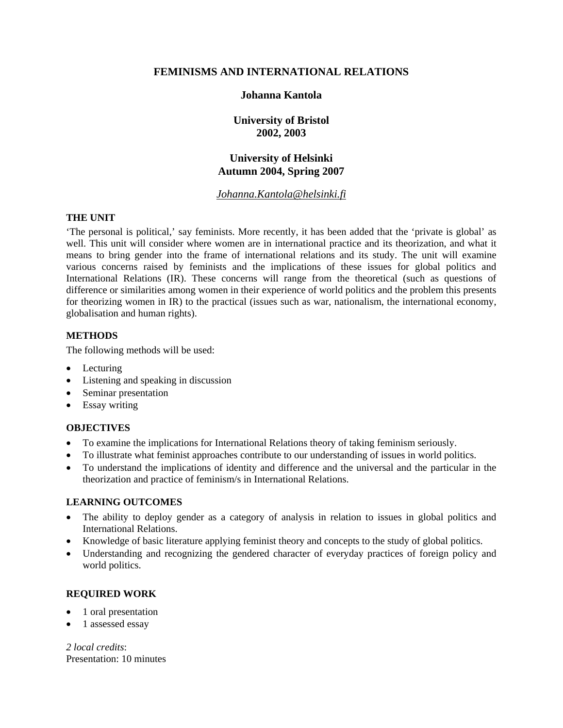# **FEMINISMS AND INTERNATIONAL RELATIONS**

# **Johanna Kantola**

**University of Bristol 2002, 2003** 

# **University of Helsinki Autumn 2004, Spring 2007**

*Johanna.Kantola@helsinki.fi*

# **THE UNIT**

'The personal is political,' say feminists. More recently, it has been added that the 'private is global' as well. This unit will consider where women are in international practice and its theorization, and what it means to bring gender into the frame of international relations and its study. The unit will examine various concerns raised by feminists and the implications of these issues for global politics and International Relations (IR). These concerns will range from the theoretical (such as questions of difference or similarities among women in their experience of world politics and the problem this presents for theorizing women in IR) to the practical (issues such as war, nationalism, the international economy, globalisation and human rights).

# **METHODS**

The following methods will be used:

- Lecturing
- Listening and speaking in discussion
- Seminar presentation
- Essay writing

# **OBJECTIVES**

- To examine the implications for International Relations theory of taking feminism seriously.
- To illustrate what feminist approaches contribute to our understanding of issues in world politics.
- To understand the implications of identity and difference and the universal and the particular in the theorization and practice of feminism/s in International Relations.

## **LEARNING OUTCOMES**

- The ability to deploy gender as a category of analysis in relation to issues in global politics and International Relations.
- Knowledge of basic literature applying feminist theory and concepts to the study of global politics.
- Understanding and recognizing the gendered character of everyday practices of foreign policy and world politics.

# **REQUIRED WORK**

- 1 oral presentation
- 1 assessed essay

*2 local credits*: Presentation: 10 minutes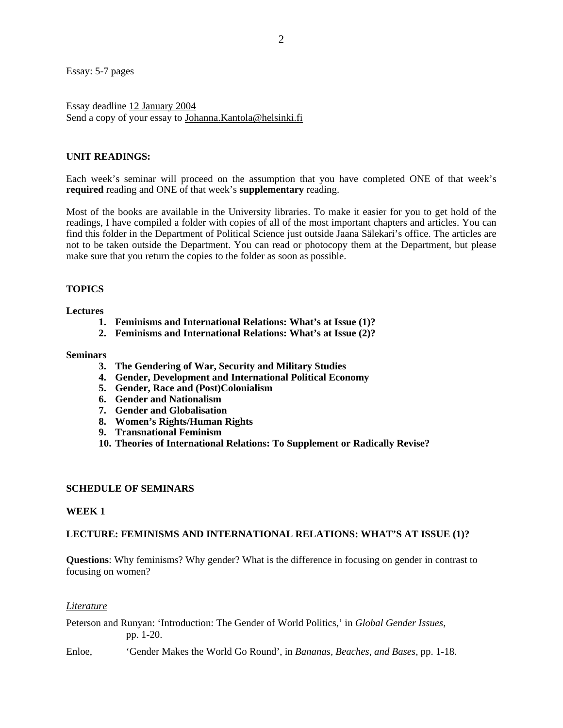Essay: 5-7 pages

Essay deadline 12 January 2004 Send a copy of your essay to Johanna.Kantola@helsinki.fi

## **UNIT READINGS:**

Each week's seminar will proceed on the assumption that you have completed ONE of that week's **required** reading and ONE of that week's **supplementary** reading.

Most of the books are available in the University libraries. To make it easier for you to get hold of the readings, I have compiled a folder with copies of all of the most important chapters and articles. You can find this folder in the Department of Political Science just outside Jaana Sälekari's office. The articles are not to be taken outside the Department. You can read or photocopy them at the Department, but please make sure that you return the copies to the folder as soon as possible.

## **TOPICS**

### **Lectures**

- **1. Feminisms and International Relations: What's at Issue (1)?**
- **2. Feminisms and International Relations: What's at Issue (2)?**

### **Seminars**

- **3. The Gendering of War, Security and Military Studies**
- **4. Gender, Development and International Political Economy**
- **5. Gender, Race and (Post)Colonialism**
- **6. Gender and Nationalism**
- **7. Gender and Globalisation**
- **8. Women's Rights/Human Rights**
- **9. Transnational Feminism**
- **10. Theories of International Relations: To Supplement or Radically Revise?**

## **SCHEDULE OF SEMINARS**

## **WEEK 1**

## **LECTURE: FEMINISMS AND INTERNATIONAL RELATIONS: WHAT'S AT ISSUE (1)?**

**Questions**: Why feminism*s*? Why gender? What is the difference in focusing on gender in contrast to focusing on women?

### *Literature*

Peterson and Runyan: 'Introduction: The Gender of World Politics,' in *Global Gender Issues*, pp. 1-20.

Enloe, 'Gender Makes the World Go Round', in *Bananas, Beaches, and Bases*, pp. 1-18.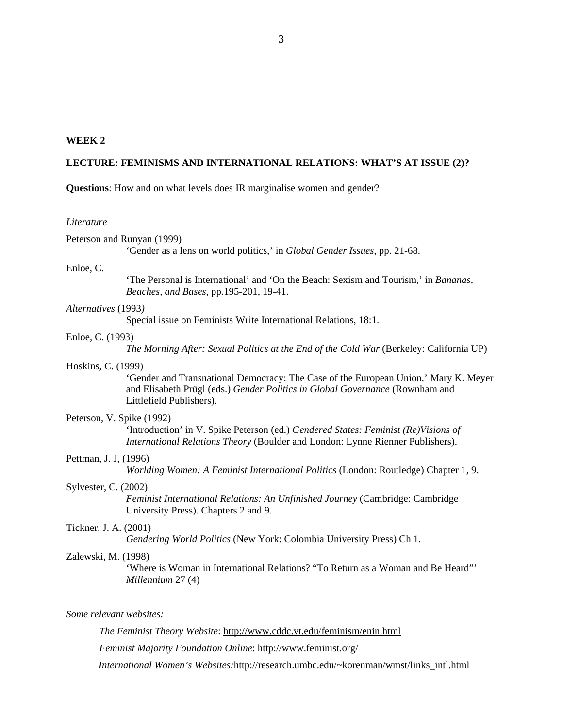## **WEEK 2**

### **LECTURE: FEMINISMS AND INTERNATIONAL RELATIONS: WHAT'S AT ISSUE (2)?**

**Questions**: How and on what levels does IR marginalise women and gender?

#### *Literature*

Peterson and Runyan (1999)

'Gender as a lens on world politics,' in *Global Gender Issues*, pp. 21-68.

#### Enloe, C.

'The Personal is International' and 'On the Beach: Sexism and Tourism,' in *Bananas, Beaches, and Bases*, pp.195-201, 19-41.

### *Alternatives* (1993*)*

Special issue on Feminists Write International Relations, 18:1.

#### Enloe, C. (1993)

*The Morning After: Sexual Politics at the End of the Cold War* (Berkeley: California UP)

### Hoskins, C. (1999)

'Gender and Transnational Democracy: The Case of the European Union,' Mary K. Meyer and Elisabeth Prügl (eds.) *Gender Politics in Global Governance* (Rownham and Littlefield Publishers).

## Peterson, V. Spike (1992)

'Introduction' in V. Spike Peterson (ed.) *Gendered States: Feminist (Re)Visions of International Relations Theory* (Boulder and London: Lynne Rienner Publishers).

#### Pettman, J. J, (1996)

*Worlding Women: A Feminist International Politics* (London: Routledge) Chapter 1, 9.

#### Sylvester, C. (2002)

*Feminist International Relations: An Unfinished Journey* (Cambridge: Cambridge University Press). Chapters 2 and 9.

### Tickner, J. A. (2001)

*Gendering World Politics* (New York: Colombia University Press) Ch 1.

#### Zalewski, M. (1998)

'Where is Woman in International Relations? "To Return as a Woman and Be Heard"' *Millennium* 27 (4)

#### *Some relevant websites:*

*The Feminist Theory Website*: http://www.cddc.vt.edu/feminism/enin.html *Feminist Majority Foundation Online*: http://www.feminist.org/

*International Women's Websites:*http://research.umbc.edu/~korenman/wmst/links\_intl.html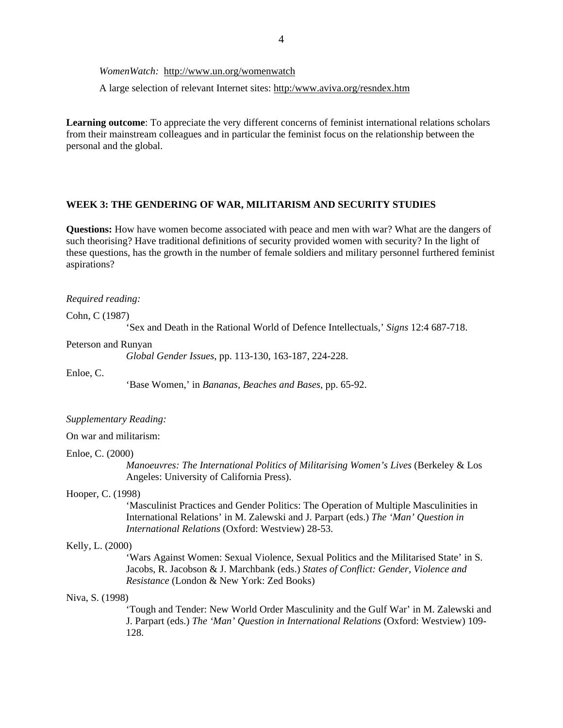*WomenWatch:* http://www.un.org/womenwatch

A large selection of relevant Internet sites: http:/www.aviva.org/resndex.htm

**Learning outcome**: To appreciate the very different concerns of feminist international relations scholars from their mainstream colleagues and in particular the feminist focus on the relationship between the personal and the global.

### **WEEK 3: THE GENDERING OF WAR, MILITARISM AND SECURITY STUDIES**

**Questions:** How have women become associated with peace and men with war? What are the dangers of such theorising? Have traditional definitions of security provided women with security? In the light of these questions, has the growth in the number of female soldiers and military personnel furthered feminist aspirations?

#### *Required reading:*

Cohn, C (1987)

'Sex and Death in the Rational World of Defence Intellectuals,' *Signs* 12:4 687-718.

#### Peterson and Runyan

*Global Gender Issues*, pp. 113-130, 163-187, 224-228.

Enloe, C.

'Base Women,' in *Bananas, Beaches and Bases*, pp. 65-92.

### *Supplementary Reading:*

On war and militarism:

#### Enloe, C. (2000)

*Manoeuvres: The International Politics of Militarising Women's Lives* (Berkeley & Los Angeles: University of California Press).

#### Hooper, C. (1998)

'Masculinist Practices and Gender Politics: The Operation of Multiple Masculinities in International Relations' in M. Zalewski and J. Parpart (eds.) *The 'Man' Question in International Relations* (Oxford: Westview) 28-53.

#### Kelly, L. (2000)

'Wars Against Women: Sexual Violence, Sexual Politics and the Militarised State' in S. Jacobs, R. Jacobson & J. Marchbank (eds.) *States of Conflict: Gender, Violence and Resistance* (London & New York: Zed Books)

### Niva, S. (1998)

'Tough and Tender: New World Order Masculinity and the Gulf War' in M. Zalewski and J. Parpart (eds.) *The 'Man' Question in International Relations* (Oxford: Westview) 109- 128.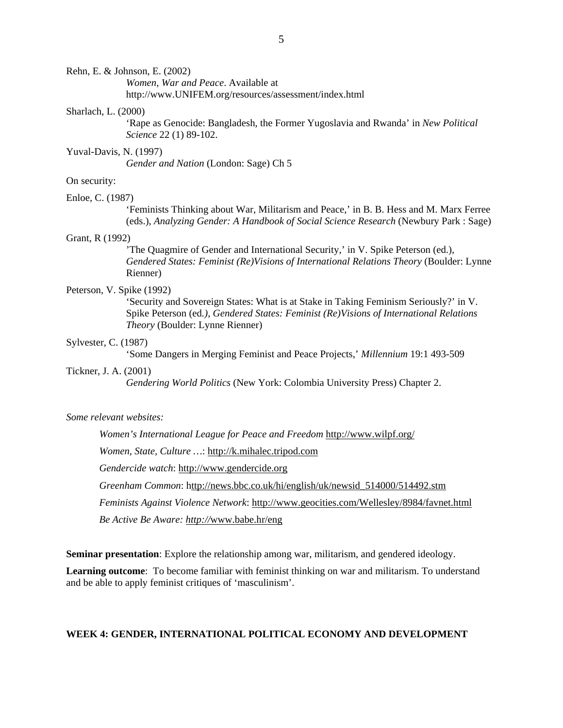*Women, War and Peace*. Available at http://www.UNIFEM.org/resources/assessment/index.html

### Sharlach, L. (2000)

'Rape as Genocide: Bangladesh, the Former Yugoslavia and Rwanda' in *New Political Science* 22 (1) 89-102.

### Yuval-Davis, N. (1997)

*Gender and Nation* (London: Sage) Ch 5

## On security:

## Enloe, C. (1987)

'Feminists Thinking about War, Militarism and Peace,' in B. B. Hess and M. Marx Ferree (eds.), *Analyzing Gender: A Handbook of Social Science Research* (Newbury Park : Sage)

## Grant, R (1992)

'The Quagmire of Gender and International Security,' in V. Spike Peterson (ed.), *Gendered States: Feminist (Re)Visions of International Relations Theory* (Boulder: Lynne Rienner)

### Peterson, V. Spike (1992)

'Security and Sovereign States: What is at Stake in Taking Feminism Seriously?' in V. Spike Peterson (ed*.), Gendered States: Feminist (Re)Visions of International Relations Theory* (Boulder: Lynne Rienner)

#### Sylvester, C. (1987)

'Some Dangers in Merging Feminist and Peace Projects,' *Millennium* 19:1 493-509

#### Tickner, J. A. (2001)

*Gendering World Politics* (New York: Colombia University Press) Chapter 2.

### *Some relevant websites:*

*Women's International League for Peace and Freedom* http://www.wilpf.org/

*Women, State, Culture …*: http://k.mihalec.tripod.com

*Gendercide watch*: http://www.gendercide.org

*Greenham Common*: http://news.bbc.co.uk/hi/english/uk/newsid\_514000/514492.stm

*Feminists Against Violence Network*: http://www.geocities.com/Wellesley/8984/favnet.html

*Be Active Be Aware: http://*www.babe.hr/eng

**Seminar presentation**: Explore the relationship among war, militarism, and gendered ideology.

**Learning outcome**: To become familiar with feminist thinking on war and militarism. To understand and be able to apply feminist critiques of 'masculinism'.

### **WEEK 4: GENDER, INTERNATIONAL POLITICAL ECONOMY AND DEVELOPMENT**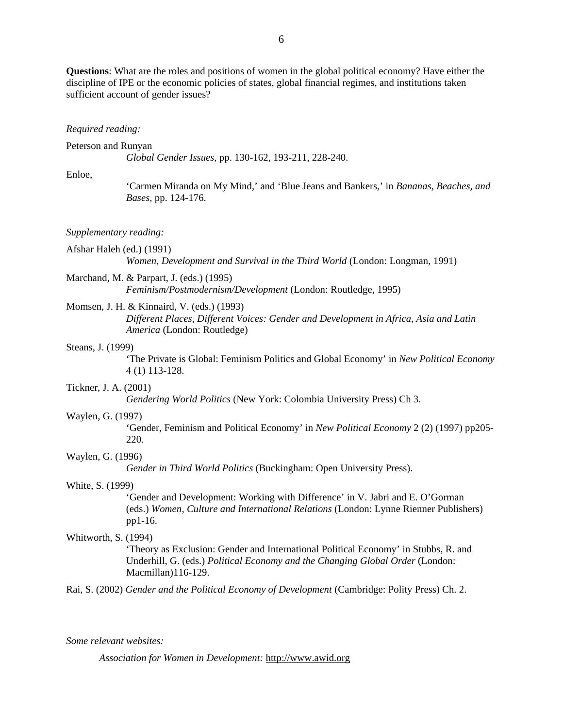**Questions**: What are the roles and positions of women in the global political economy? Have either the discipline of IPE or the economic policies of states, global financial regimes, and institutions taken sufficient account of gender issues?

#### *Required reading:*

#### Peterson and Runyan

*Global Gender Issues*, pp. 130-162, 193-211, 228-240.

#### Enloe,

'Carmen Miranda on My Mind,' and 'Blue Jeans and Bankers,' in *Bananas, Beaches, and Bases*, pp. 124-176.

#### *Supplementary reading:*

Afshar Haleh (ed.) (1991)

*Women, Development and Survival in the Third World* (London: Longman, 1991)

Marchand, M. & Parpart, J. (eds.) (1995)

*Feminism/Postmodernism/Development* (London: Routledge, 1995)

## Momsen, J. H. & Kinnaird, V. (eds.) (1993)

*Different Places, Different Voices: Gender and Development in Africa, Asia and Latin America* (London: Routledge)

#### Steans, J. (1999)

'The Private is Global: Feminism Politics and Global Economy' in *New Political Economy*  4 (1) 113-128.

#### Tickner, J. A. (2001)

*Gendering World Politics* (New York: Colombia University Press) Ch 3.

### Waylen, G. (1997)

'Gender, Feminism and Political Economy' in *New Political Economy* 2 (2) (1997) pp205- 220.

### Waylen, G. (1996)

*Gender in Third World Politics* (Buckingham: Open University Press).

### White, S. (1999)

'Gender and Development: Working with Difference' in V. Jabri and E. O'Gorman (eds.) *Women, Culture and International Relations* (London: Lynne Rienner Publishers) pp1-16.

### Whitworth, S. (1994)

'Theory as Exclusion: Gender and International Political Economy' in Stubbs, R. and Underhill, G. (eds.) *Political Economy and the Changing Global Order* (London: Macmillan)116-129.

Rai, S. (2002) *Gender and the Political Economy of Development* (Cambridge: Polity Press) Ch. 2.

#### *Some relevant websites:*

*Association for Women in Development:* http://www.awid.org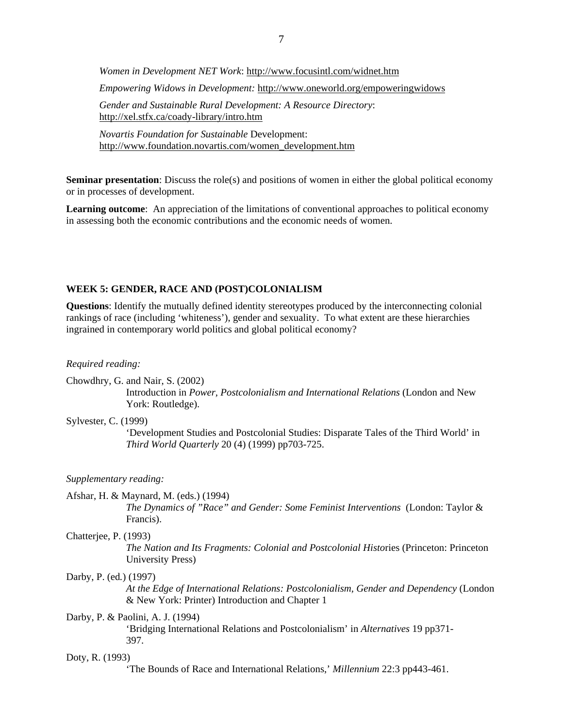*Women in Development NET Work*: http://www.focusintl.com/widnet.htm *Empowering Widows in Development:* http://www.oneworld.org/empoweringwidows *Gender and Sustainable Rural Development: A Resource Directory*: http://xel.stfx.ca/coady-library/intro.htm

*Novartis Foundation for Sustainable* Development: http://www.foundation.novartis.com/women\_development.htm

**Seminar presentation**: Discuss the role(s) and positions of women in either the global political economy or in processes of development.

**Learning outcome**: An appreciation of the limitations of conventional approaches to political economy in assessing both the economic contributions and the economic needs of women.

## **WEEK 5: GENDER, RACE AND (POST)COLONIALISM**

**Questions**: Identify the mutually defined identity stereotypes produced by the interconnecting colonial rankings of race (including 'whiteness'), gender and sexuality. To what extent are these hierarchies ingrained in contemporary world politics and global political economy?

*Required reading:* 

| Chowdhry, G. and Nair, S. (2002) |  |  |  |  |
|----------------------------------|--|--|--|--|
|                                  |  |  |  |  |

 Introduction in *Power, Postcolonialism and International Relations* (London and New York: Routledge).

Sylvester, C. (1999)

'Development Studies and Postcolonial Studies: Disparate Tales of the Third World' in *Third World Quarterly* 20 (4) (1999) pp703-725.

*Supplementary reading:* 

Afshar, H. & Maynard, M. (eds.) (1994)

*The Dynamics of "Race" and Gender: Some Feminist Interventions* (London: Taylor & Francis).

Chatterjee, P. (1993)

*The Nation and Its Fragments: Colonial and Postcolonial Histo*ries (Princeton: Princeton University Press)

## Darby, P. (ed*.*) (1997)

*At the Edge of International Relations: Postcolonialism, Gender and Dependency* (London & New York: Printer) Introduction and Chapter 1

## Darby, P. & Paolini, A. J. (1994)

'Bridging International Relations and Postcolonialism' in *Alternatives* 19 pp371- 397.

### Doty, R. (1993)

'The Bounds of Race and International Relations,' *Millennium* 22:3 pp443-461.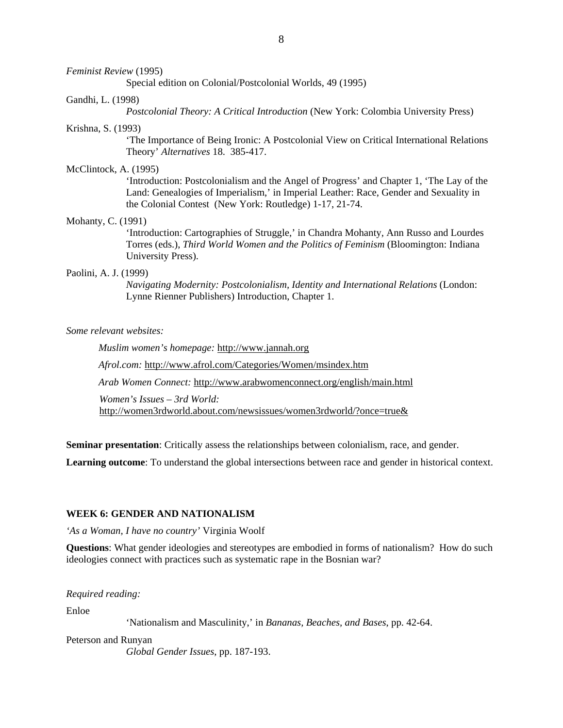#### *Feminist Review* (1995)

Special edition on Colonial/Postcolonial Worlds, 49 (1995)

#### Gandhi, L. (1998)

*Postcolonial Theory: A Critical Introduction* (New York: Colombia University Press)

#### Krishna, S. (1993)

'The Importance of Being Ironic: A Postcolonial View on Critical International Relations Theory' *Alternatives* 18. 385-417.

## McClintock, A. (1995)

'Introduction: Postcolonialism and the Angel of Progress' and Chapter 1, 'The Lay of the Land: Genealogies of Imperialism,' in Imperial Leather: Race, Gender and Sexuality in the Colonial Contest (New York: Routledge) 1-17, 21-74.

#### Mohanty, C. (1991)

'Introduction: Cartographies of Struggle,' in Chandra Mohanty, Ann Russo and Lourdes Torres (eds.), *Third World Women and the Politics of Feminism* (Bloomington: Indiana University Press).

### Paolini, A. J. (1999)

*Navigating Modernity: Postcolonialism, Identity and International Relations* (London: Lynne Rienner Publishers) Introduction, Chapter 1.

*Some relevant websites:* 

*Muslim women's homepage:* http://www.jannah.org

*Afrol.com:* http://www.afrol.com/Categories/Women/msindex.htm

*Arab Women Connect:* http://www.arabwomenconnect.org/english/main.html

*Women's Issues – 3rd World:* 

http://women3rdworld.about.com/newsissues/women3rdworld/?once=true&

**Seminar presentation**: Critically assess the relationships between colonialism, race, and gender.

**Learning outcome**: To understand the global intersections between race and gender in historical context.

### **WEEK 6: GENDER AND NATIONALISM**

*'As a Woman, I have no country'* Virginia Woolf

**Questions**: What gender ideologies and stereotypes are embodied in forms of nationalism? How do such ideologies connect with practices such as systematic rape in the Bosnian war?

*Required reading:* 

Enloe

'Nationalism and Masculinity,' in *Bananas, Beaches, and Bases*, pp. 42-64.

Peterson and Runyan

*Global Gender Issues*, pp. 187-193.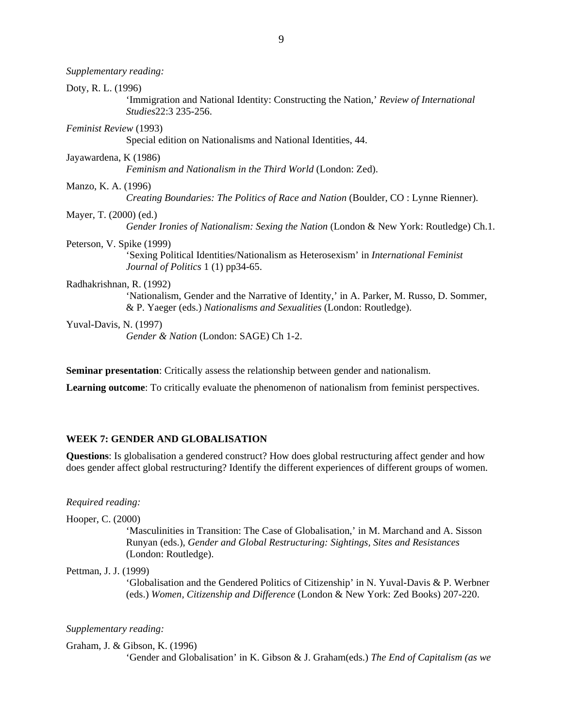*Supplementary reading:*  Doty, R. L. (1996) 'Immigration and National Identity: Constructing the Nation,' *Review of International Studies*22:3 235-256. *Feminist Review* (1993) Special edition on Nationalisms and National Identities, 44. Jayawardena, K (1986) *Feminism and Nationalism in the Third World* (London: Zed). Manzo, K. A. (1996) *Creating Boundaries: The Politics of Race and Nation* (Boulder, CO : Lynne Rienner). Mayer, T. (2000) (ed.) *Gender Ironies of Nationalism: Sexing the Nation* (London & New York: Routledge) Ch.1. Peterson, V. Spike (1999) 'Sexing Political Identities/Nationalism as Heterosexism' in *International Feminist Journal of Politics* 1 (1) pp34-65. Radhakrishnan, R. (1992) 'Nationalism, Gender and the Narrative of Identity,' in A. Parker, M. Russo, D. Sommer, & P. Yaeger (eds.) *Nationalisms and Sexualities* (London: Routledge). Yuval-Davis, N. (1997) *Gender & Nation* (London: SAGE) Ch 1-2.

**Seminar presentation**: Critically assess the relationship between gender and nationalism.

**Learning outcome**: To critically evaluate the phenomenon of nationalism from feminist perspectives.

# **WEEK 7: GENDER AND GLOBALISATION**

**Questions**: Is globalisation a gendered construct? How does global restructuring affect gender and how does gender affect global restructuring? Identify the different experiences of different groups of women.

## *Required reading:*

Hooper, C. (2000)

'Masculinities in Transition: The Case of Globalisation,' in M. Marchand and A. Sisson Runyan (eds.), *Gender and Global Restructuring: Sightings, Sites and Resistances*  (London: Routledge).

## Pettman, J. J. (1999)

'Globalisation and the Gendered Politics of Citizenship' in N. Yuval-Davis & P. Werbner (eds.) *Women, Citizenship and Difference* (London & New York: Zed Books) 207-220.

## *Supplementary reading:*

#### Graham, J. & Gibson, K. (1996)

'Gender and Globalisation' in K. Gibson & J. Graham(eds.) *The End of Capitalism (as we*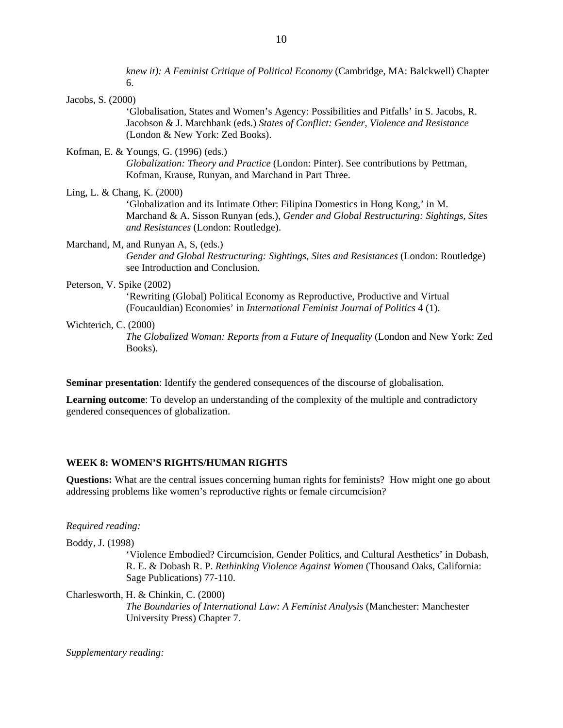*knew it): A Feminist Critique of Political Economy* (Cambridge, MA: Balckwell) Chapter 6.

Jacobs, S. (2000)

'Globalisation, States and Women's Agency: Possibilities and Pitfalls' in S. Jacobs, R. Jacobson & J. Marchbank (eds.) *States of Conflict: Gender, Violence and Resistance* (London & New York: Zed Books).

Kofman, E. & Youngs, G. (1996) (eds.)

*Globalization: Theory and Practice* (London: Pinter). See contributions by Pettman, Kofman, Krause, Runyan, and Marchand in Part Three.

Ling, L. & Chang, K. (2000)

'Globalization and its Intimate Other: Filipina Domestics in Hong Kong,' in M. Marchand & A. Sisson Runyan (eds.), *Gender and Global Restructuring: Sightings, Sites and Resistances* (London: Routledge).

# Marchand, M, and Runyan A, S, (eds.)

*Gender and Global Restructuring: Sightings, Sites and Resistances* (London: Routledge) see Introduction and Conclusion.

## Peterson, V. Spike (2002)

'Rewriting (Global) Political Economy as Reproductive, Productive and Virtual (Foucauldian) Economies' in *International Feminist Journal of Politics* 4 (1).

## Wichterich, C. (2000)

*The Globalized Woman: Reports from a Future of Inequality* (London and New York: Zed Books).

**Seminar presentation**: Identify the gendered consequences of the discourse of globalisation.

**Learning outcome**: To develop an understanding of the complexity of the multiple and contradictory gendered consequences of globalization.

# **WEEK 8: WOMEN'S RIGHTS/HUMAN RIGHTS**

**Questions:** What are the central issues concerning human rights for feminists? How might one go about addressing problems like women's reproductive rights or female circumcision?

# *Required reading:*

Boddy, J. (1998)

'Violence Embodied? Circumcision, Gender Politics, and Cultural Aesthetics' in Dobash, R. E. & Dobash R. P. *Rethinking Violence Against Women* (Thousand Oaks, California: Sage Publications) 77-110.

Charlesworth, H. & Chinkin, C. (2000) *The Boundaries of International Law: A Feminist Analysis* (Manchester: Manchester University Press) Chapter 7.

*Supplementary reading:*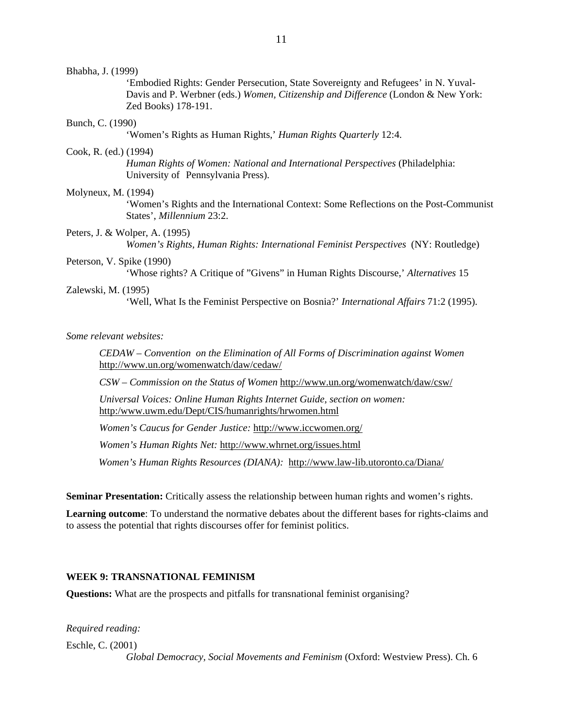#### Bhabha, J. (1999)

'Embodied Rights: Gender Persecution, State Sovereignty and Refugees' in N. Yuval-Davis and P. Werbner (eds.) *Women, Citizenship and Difference* (London & New York: Zed Books) 178-191.

## Bunch, C. (1990)

'Women's Rights as Human Rights,' *Human Rights Quarterly* 12:4.

#### Cook, R. (ed.) (1994)

*Human Rights of Women: National and International Perspectives* (Philadelphia: University of Pennsylvania Press).

### Molyneux, M. (1994)

'Women's Rights and the International Context: Some Reflections on the Post-Communist States', *Millennium* 23:2.

### Peters, J. & Wolper, A. (1995)

*Women's Rights, Human Rights: International Feminist Perspectives* (NY: Routledge)

### Peterson, V. Spike (1990)

'Whose rights? A Critique of "Givens" in Human Rights Discourse,' *Alternatives* 15

### Zalewski, M. (1995)

'Well, What Is the Feminist Perspective on Bosnia?' *International Affairs* 71:2 (1995).

## *Some relevant websites:*

*CEDAW – Convention on the Elimination of All Forms of Discrimination against Women*  http://www.un.org/womenwatch/daw/cedaw/

*CSW – Commission on the Status of Women* http://www.un.org/womenwatch/daw/csw/

*Universal Voices: Online Human Rights Internet Guide, section on women:* http:/www.uwm.edu/Dept/CIS/humanrights/hrwomen.html

*Women's Caucus for Gender Justice:* http://www.iccwomen.org/

*Women's Human Rights Net:* http://www.whrnet.org/issues.html

*Women's Human Rights Resources (DIANA):* http://www.law-lib.utoronto.ca/Diana/

**Seminar Presentation:** Critically assess the relationship between human rights and women's rights.

**Learning outcome**: To understand the normative debates about the different bases for rights-claims and to assess the potential that rights discourses offer for feminist politics.

# **WEEK 9: TRANSNATIONAL FEMINISM**

**Questions:** What are the prospects and pitfalls for transnational feminist organising?

*Required reading:* 

Eschle, C. (2001)

*Global Democracy, Social Movements and Feminism* (Oxford: Westview Press). Ch. 6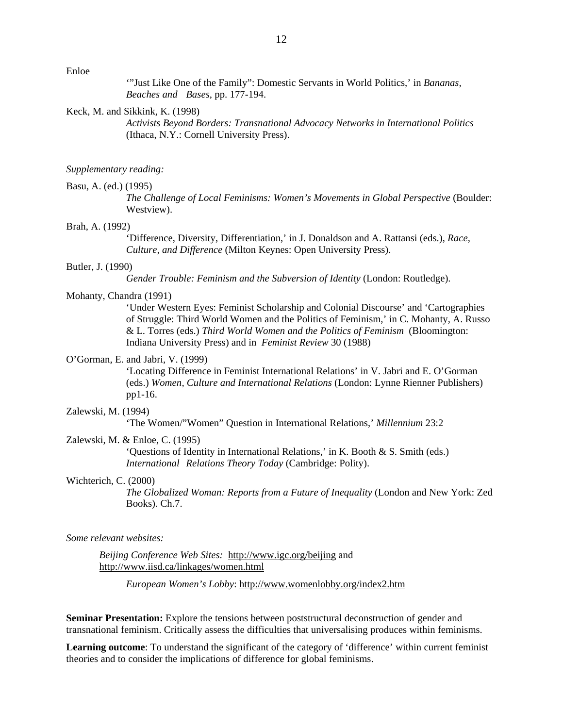Enloe

'"Just Like One of the Family": Domestic Servants in World Politics,' in *Bananas, Beaches and Bases*, pp. 177-194.

#### Keck, M. and Sikkink, K. (1998)

*Activists Beyond Borders: Transnational Advocacy Networks in International Politics* (Ithaca, N.Y.: Cornell University Press).

## *Supplementary reading:*

### Basu, A. (ed.) (1995)

*The Challenge of Local Feminisms: Women's Movements in Global Perspective (Boulder:* Westview).

## Brah, A. (1992)

'Difference, Diversity, Differentiation,' in J. Donaldson and A. Rattansi (eds.), *Race, Culture, and Difference* (Milton Keynes: Open University Press).

### Butler, J. (1990)

*Gender Trouble: Feminism and the Subversion of Identity* (London: Routledge).

#### Mohanty, Chandra (1991)

'Under Western Eyes: Feminist Scholarship and Colonial Discourse' and 'Cartographies of Struggle: Third World Women and the Politics of Feminism,' in C. Mohanty, A. Russo & L. Torres (eds.) *Third World Women and the Politics of Feminism* (Bloomington: Indiana University Press) and in *Feminist Review* 30 (1988)

### O'Gorman, E. and Jabri, V. (1999)

'Locating Difference in Feminist International Relations' in V. Jabri and E. O'Gorman (eds.) *Women, Culture and International Relations* (London: Lynne Rienner Publishers) pp1-16.

### Zalewski, M. (1994)

'The Women/"Women" Question in International Relations,' *Millennium* 23:2

## Zalewski, M. & Enloe, C. (1995)

'Questions of Identity in International Relations,' in K. Booth & S. Smith (eds.) *International Relations Theory Today* (Cambridge: Polity).

### Wichterich, C. (2000)

*The Globalized Woman: Reports from a Future of Inequality* (London and New York: Zed Books). Ch.7.

#### *Some relevant websites:*

*Beijing Conference Web Sites:* http://www.igc.org/beijing and http://www.iisd.ca/linkages/women.html

*European Women's Lobby*: http://www.womenlobby.org/index2.htm

**Seminar Presentation:** Explore the tensions between poststructural deconstruction of gender and transnational feminism. Critically assess the difficulties that universalising produces within feminisms.

**Learning outcome**: To understand the significant of the category of 'difference' within current feminist theories and to consider the implications of difference for global feminisms.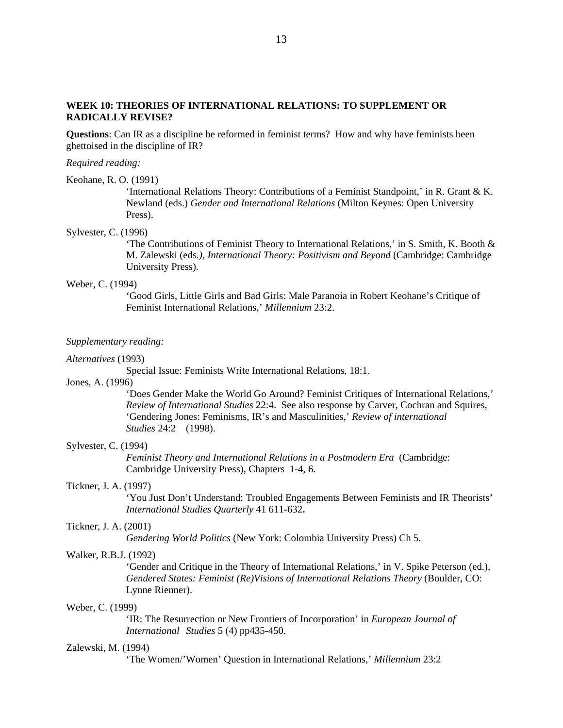# **WEEK 10: THEORIES OF INTERNATIONAL RELATIONS: TO SUPPLEMENT OR RADICALLY REVISE?**

**Questions**: Can IR as a discipline be reformed in feminist terms? How and why have feminists been ghettoised in the discipline of IR?

#### *Required reading:*

#### Keohane, R. O. (1991)

'International Relations Theory: Contributions of a Feminist Standpoint,' in R. Grant & K. Newland (eds.) *Gender and International Relations* (Milton Keynes: Open University Press).

### Sylvester, C. (1996)

'The Contributions of Feminist Theory to International Relations,' in S. Smith, K. Booth & M. Zalewski (eds*.), International Theory: Positivism and Beyond* (Cambridge: Cambridge University Press).

#### Weber, C. (1994)

'Good Girls, Little Girls and Bad Girls: Male Paranoia in Robert Keohane's Critique of Feminist International Relations,' *Millennium* 23:2.

#### *Supplementary reading:*

#### *Alternatives* (1993)

Special Issue: Feminists Write International Relations, 18:1.

## Jones, A. (1996)

'Does Gender Make the World Go Around? Feminist Critiques of International Relations,' *Review of International Studies* 22:4. See also response by Carver, Cochran and Squires, 'Gendering Jones: Feminisms, IR's and Masculinities,' *Review of international Studies* 24:2 (1998).

## Sylvester, C. (1994)

*Feminist Theory and International Relations in a Postmodern Era* (Cambridge: Cambridge University Press), Chapters 1-4, 6.

## Tickner, J. A. (1997)

'You Just Don't Understand: Troubled Engagements Between Feminists and IR Theorists' *International Studies Quarterly* 41 611-632**.**

## Tickner, J. A. (2001)

*Gendering World Politics* (New York: Colombia University Press) Ch 5.

## Walker, R.B.J. (1992)

'Gender and Critique in the Theory of International Relations,' in V. Spike Peterson (ed.), *Gendered States: Feminist (Re)Visions of International Relations Theory* (Boulder, CO: Lynne Rienner).

### Weber, C. (1999)

'IR: The Resurrection or New Frontiers of Incorporation' in *European Journal of International Studies* 5 (4) pp435-450.

#### Zalewski, M. (1994)

'The Women/'Women' Question in International Relations,' *Millennium* 23:2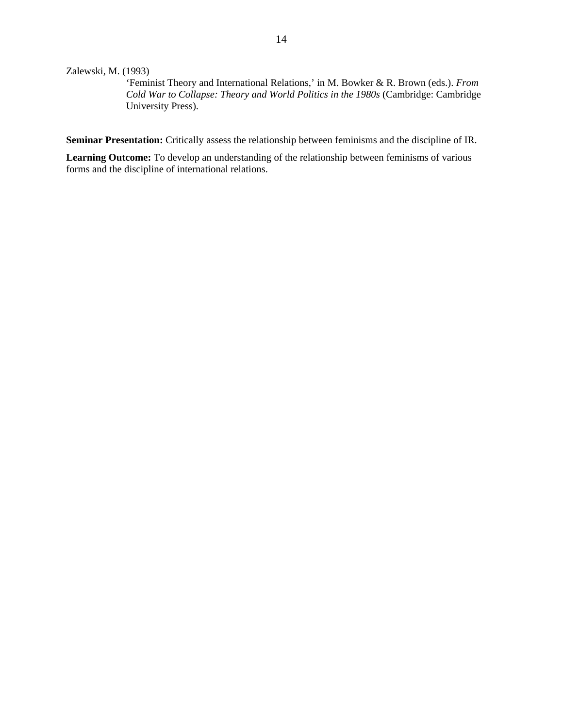Zalewski, M. (1993)

'Feminist Theory and International Relations,' in M. Bowker & R. Brown (eds.). *From Cold War to Collapse: Theory and World Politics in the 1980s* (Cambridge: Cambridge University Press).

**Seminar Presentation:** Critically assess the relationship between feminisms and the discipline of IR.

**Learning Outcome:** To develop an understanding of the relationship between feminisms of various forms and the discipline of international relations.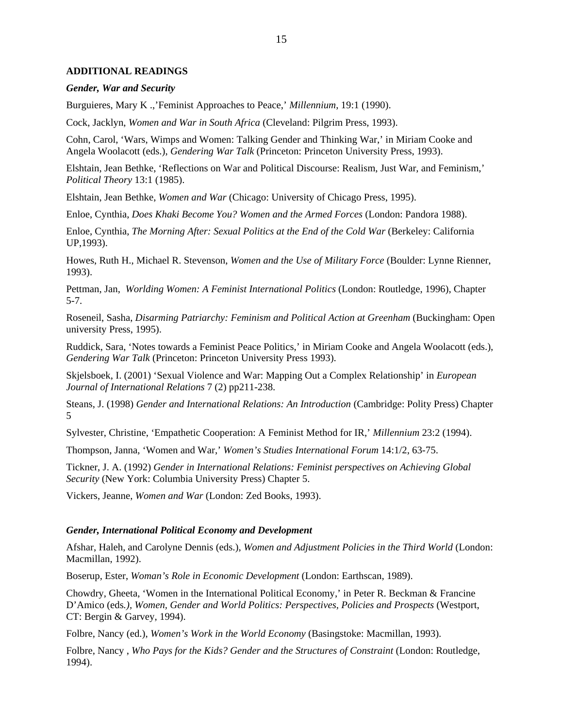## **ADDITIONAL READINGS**

### *Gender, War and Security*

Burguieres, Mary K .,'Feminist Approaches to Peace,' *Millennium*, 19:1 (1990).

Cock, Jacklyn, *Women and War in South Africa* (Cleveland: Pilgrim Press, 1993).

Cohn, Carol, 'Wars, Wimps and Women: Talking Gender and Thinking War,' in Miriam Cooke and Angela Woolacott (eds.), *Gendering War Talk* (Princeton: Princeton University Press, 1993).

Elshtain, Jean Bethke, 'Reflections on War and Political Discourse: Realism, Just War, and Feminism,' *Political Theory* 13:1 (1985).

Elshtain, Jean Bethke, *Women and War* (Chicago: University of Chicago Press, 1995).

Enloe, Cynthia, *Does Khaki Become You? Women and the Armed Forces* (London: Pandora 1988).

Enloe, Cynthia, *The Morning After: Sexual Politics at the End of the Cold War* (Berkeley: California UP,1993).

Howes, Ruth H., Michael R. Stevenson, *Women and the Use of Military Force* (Boulder: Lynne Rienner, 1993).

Pettman, Jan, *Worlding Women: A Feminist International Politics* (London: Routledge, 1996), Chapter 5-7.

Roseneil, Sasha, *Disarming Patriarchy: Feminism and Political Action at Greenham* (Buckingham: Open university Press, 1995).

Ruddick, Sara, 'Notes towards a Feminist Peace Politics,' in Miriam Cooke and Angela Woolacott (eds.), *Gendering War Talk* (Princeton: Princeton University Press 1993).

Skjelsboek, I. (2001) 'Sexual Violence and War: Mapping Out a Complex Relationship' in *European Journal of International Relations* 7 (2) pp211-238.

Steans, J. (1998) *Gender and International Relations: An Introduction* (Cambridge: Polity Press) Chapter 5

Sylvester, Christine, 'Empathetic Cooperation: A Feminist Method for IR,' *Millennium* 23:2 (1994).

Thompson, Janna, 'Women and War,' *Women's Studies International Forum* 14:1/2, 63-75.

Tickner, J. A. (1992) *Gender in International Relations: Feminist perspectives on Achieving Global Security* (New York: Columbia University Press) Chapter 5.

Vickers, Jeanne, *Women and War* (London: Zed Books, 1993).

## *Gender, International Political Economy and Development*

Afshar, Haleh, and Carolyne Dennis (eds.), *Women and Adjustment Policies in the Third World* (London: Macmillan, 1992).

Boserup, Ester, *Woman's Role in Economic Development* (London: Earthscan, 1989).

Chowdry, Gheeta, 'Women in the International Political Economy,' in Peter R. Beckman & Francine D'Amico (eds*.), Women, Gender and World Politics: Perspectives, Policies and Prospects* (Westport, CT: Bergin & Garvey, 1994).

Folbre, Nancy (ed.), *Women's Work in the World Economy* (Basingstoke: Macmillan, 1993).

Folbre, Nancy , *Who Pays for the Kids? Gender and the Structures of Constraint* (London: Routledge, 1994).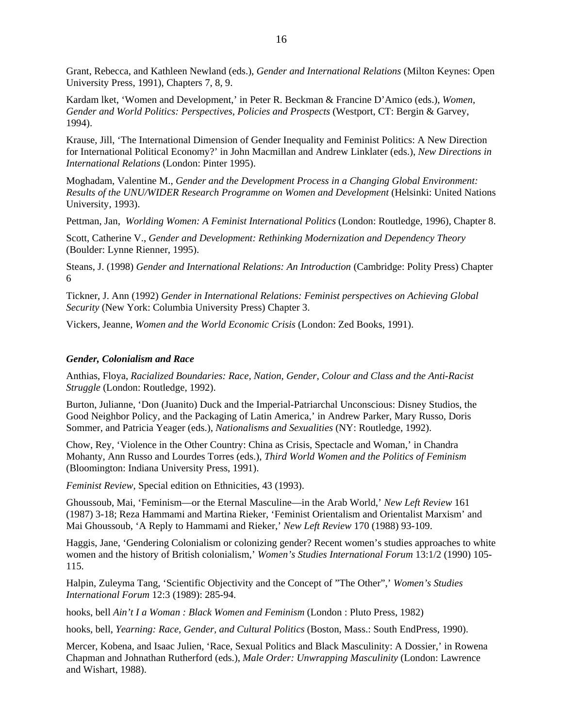Grant, Rebecca, and Kathleen Newland (eds.), *Gender and International Relations* (Milton Keynes: Open University Press, 1991), Chapters 7, 8, 9.

Kardam lket, 'Women and Development,' in Peter R. Beckman & Francine D'Amico (eds.), *Women, Gender and World Politics: Perspectives, Policies and Prospects* (Westport, CT: Bergin & Garvey, 1994).

Krause, Jill, 'The International Dimension of Gender Inequality and Feminist Politics: A New Direction for International Political Economy?' in John Macmillan and Andrew Linklater (eds.), *New Directions in International Relations* (London: Pinter 1995).

Moghadam, Valentine M., *Gender and the Development Process in a Changing Global Environment: Results of the UNU/WIDER Research Programme on Women and Development* (Helsinki: United Nations University, 1993).

Pettman, Jan, *Worlding Women: A Feminist International Politics* (London: Routledge, 1996), Chapter 8.

Scott, Catherine V., *Gender and Development: Rethinking Modernization and Dependency Theory* (Boulder: Lynne Rienner, 1995).

Steans, J. (1998) *Gender and International Relations: An Introduction* (Cambridge: Polity Press) Chapter 6

Tickner, J. Ann (1992) *Gender in International Relations: Feminist perspectives on Achieving Global Security* (New York: Columbia University Press) Chapter 3.

Vickers, Jeanne, *Women and the World Economic Crisis* (London: Zed Books, 1991).

## *Gender, Colonialism and Race*

Anthias, Floya, *Racialized Boundaries: Race, Nation, Gender, Colour and Class and the Anti-Racist Struggle* (London: Routledge, 1992).

Burton, Julianne, 'Don (Juanito) Duck and the Imperial-Patriarchal Unconscious: Disney Studios, the Good Neighbor Policy, and the Packaging of Latin America,' in Andrew Parker, Mary Russo, Doris Sommer, and Patricia Yeager (eds.), *Nationalisms and Sexualities* (NY: Routledge, 1992).

Chow, Rey, 'Violence in the Other Country: China as Crisis, Spectacle and Woman,' in Chandra Mohanty, Ann Russo and Lourdes Torres (eds.), *Third World Women and the Politics of Feminism* (Bloomington: Indiana University Press, 1991).

*Feminist Review*, Special edition on Ethnicities, 43 (1993).

Ghoussoub, Mai, 'Feminism—or the Eternal Masculine—in the Arab World,' *New Left Review* 161 (1987) 3-18; Reza Hammami and Martina Rieker, 'Feminist Orientalism and Orientalist Marxism' and Mai Ghoussoub, 'A Reply to Hammami and Rieker,' *New Left Review* 170 (1988) 93-109.

Haggis, Jane, 'Gendering Colonialism or colonizing gender? Recent women's studies approaches to white women and the history of British colonialism,' *Women's Studies International Forum* 13:1/2 (1990) 105- 115.

Halpin, Zuleyma Tang, 'Scientific Objectivity and the Concept of "The Other",' *Women's Studies International Forum* 12:3 (1989): 285-94.

hooks, bell *Ain't I a Woman : Black Women and Feminism* (London : Pluto Press, 1982)

hooks, bell, *Yearning: Race, Gender, and Cultural Politics* (Boston, Mass.: South EndPress, 1990).

Mercer, Kobena, and Isaac Julien, 'Race, Sexual Politics and Black Masculinity: A Dossier,' in Rowena Chapman and Johnathan Rutherford (eds.), *Male Order: Unwrapping Masculinity* (London: Lawrence and Wishart, 1988).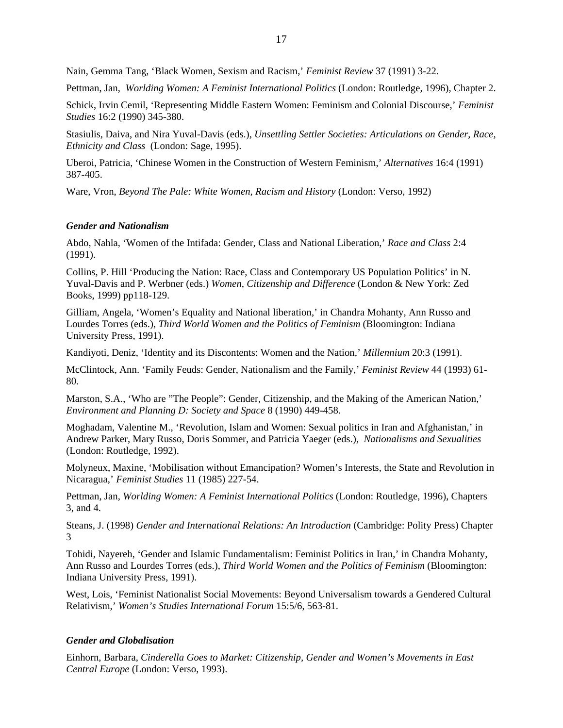Nain, Gemma Tang, 'Black Women, Sexism and Racism,' *Feminist Review* 37 (1991) 3-22.

Pettman, Jan, *Worlding Women: A Feminist International Politics* (London: Routledge, 1996), Chapter 2.

Schick, Irvin Cemil, 'Representing Middle Eastern Women: Feminism and Colonial Discourse,' *Feminist Studies* 16:2 (1990) 345-380.

Stasiulis, Daiva, and Nira Yuval-Davis (eds.), *Unsettling Settler Societies: Articulations on Gender, Race, Ethnicity and Class* (London: Sage, 1995).

Uberoi, Patricia, 'Chinese Women in the Construction of Western Feminism,' *Alternatives* 16:4 (1991) 387-405.

Ware, Vron, *Beyond The Pale: White Women, Racism and History* (London: Verso, 1992)

#### *Gender and Nationalism*

Abdo, Nahla, 'Women of the Intifada: Gender, Class and National Liberation,' *Race and Class* 2:4 (1991).

Collins, P. Hill 'Producing the Nation: Race, Class and Contemporary US Population Politics' in N. Yuval-Davis and P. Werbner (eds.) *Women, Citizenship and Difference* (London & New York: Zed Books, 1999) pp118-129.

Gilliam, Angela, 'Women's Equality and National liberation,' in Chandra Mohanty, Ann Russo and Lourdes Torres (eds.), *Third World Women and the Politics of Feminism* (Bloomington: Indiana University Press, 1991).

Kandiyoti, Deniz, 'Identity and its Discontents: Women and the Nation,' *Millennium* 20:3 (1991).

McClintock, Ann. 'Family Feuds: Gender, Nationalism and the Family,' *Feminist Review* 44 (1993) 61- 80.

Marston, S.A., 'Who are "The People": Gender, Citizenship, and the Making of the American Nation,' *Environment and Planning D: Society and Space* 8 (1990) 449-458.

Moghadam, Valentine M., 'Revolution, Islam and Women: Sexual politics in Iran and Afghanistan,' in Andrew Parker, Mary Russo, Doris Sommer, and Patricia Yaeger (eds.), *Nationalisms and Sexualities* (London: Routledge, 1992).

Molyneux, Maxine, 'Mobilisation without Emancipation? Women's Interests, the State and Revolution in Nicaragua,' *Feminist Studies* 11 (1985) 227-54.

Pettman, Jan, *Worlding Women: A Feminist International Politics* (London: Routledge, 1996), Chapters 3, and 4.

Steans, J. (1998) *Gender and International Relations: An Introduction* (Cambridge: Polity Press) Chapter 3

Tohidi, Nayereh, 'Gender and Islamic Fundamentalism: Feminist Politics in Iran,' in Chandra Mohanty, Ann Russo and Lourdes Torres (eds.), *Third World Women and the Politics of Feminism* (Bloomington: Indiana University Press, 1991).

West, Lois, 'Feminist Nationalist Social Movements: Beyond Universalism towards a Gendered Cultural Relativism,' *Women's Studies International Forum* 15:5/6, 563-81.

### *Gender and Globalisation*

Einhorn, Barbara, *Cinderella Goes to Market: Citizenship, Gender and Women's Movements in East Central Europe* (London: Verso, 1993).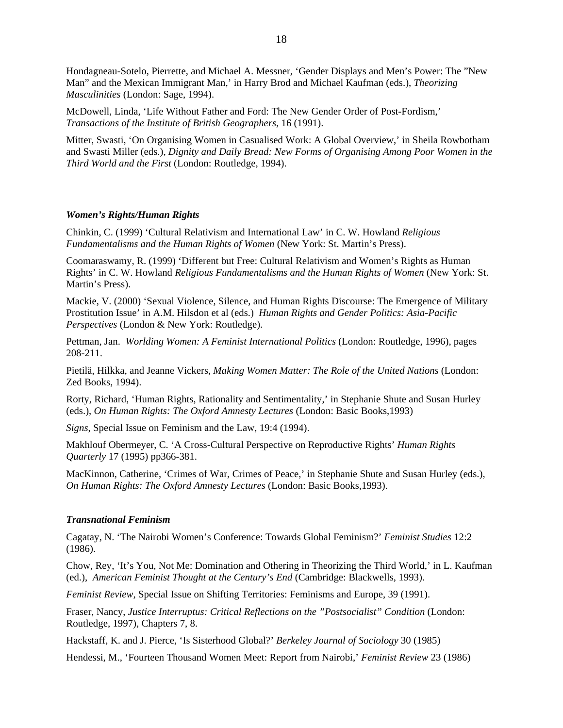Hondagneau-Sotelo, Pierrette, and Michael A. Messner, 'Gender Displays and Men's Power: The "New Man" and the Mexican Immigrant Man,' in Harry Brod and Michael Kaufman (eds.), *Theorizing Masculinities* (London: Sage, 1994).

McDowell, Linda, 'Life Without Father and Ford: The New Gender Order of Post-Fordism,' *Transactions of the Institute of British Geographers*, 16 (1991).

Mitter, Swasti, 'On Organising Women in Casualised Work: A Global Overview,' in Sheila Rowbotham and Swasti Miller (eds.), *Dignity and Daily Bread: New Forms of Organising Among Poor Women in the Third World and the First* (London: Routledge, 1994).

## *Women's Rights/Human Rights*

Chinkin, C. (1999) 'Cultural Relativism and International Law' in C. W. Howland *Religious Fundamentalisms and the Human Rights of Women* (New York: St. Martin's Press).

Coomaraswamy, R. (1999) 'Different but Free: Cultural Relativism and Women's Rights as Human Rights' in C. W. Howland *Religious Fundamentalisms and the Human Rights of Women* (New York: St. Martin's Press).

Mackie, V. (2000) 'Sexual Violence, Silence, and Human Rights Discourse: The Emergence of Military Prostitution Issue' in A.M. Hilsdon et al (eds.) *Human Rights and Gender Politics: Asia-Pacific Perspectives* (London & New York: Routledge).

Pettman, Jan. *Worlding Women: A Feminist International Politics* (London: Routledge, 1996), pages 208-211.

Pietilä, Hilkka, and Jeanne Vickers, *Making Women Matter: The Role of the United Nations* (London: Zed Books, 1994).

Rorty, Richard, 'Human Rights, Rationality and Sentimentality,' in Stephanie Shute and Susan Hurley (eds.), *On Human Rights: The Oxford Amnesty Lectures* (London: Basic Books,1993)

*Signs*, Special Issue on Feminism and the Law, 19:4 (1994).

Makhlouf Obermeyer, C. 'A Cross-Cultural Perspective on Reproductive Rights' *Human Rights Quarterly* 17 (1995) pp366-381.

MacKinnon, Catherine, 'Crimes of War, Crimes of Peace,' in Stephanie Shute and Susan Hurley (eds.), *On Human Rights: The Oxford Amnesty Lectures* (London: Basic Books,1993).

## *Transnational Feminism*

Cagatay, N. 'The Nairobi Women's Conference: Towards Global Feminism?' *Feminist Studies* 12:2 (1986).

Chow, Rey, 'It's You, Not Me: Domination and Othering in Theorizing the Third World,' in L. Kaufman (ed.), *American Feminist Thought at the Century's End* (Cambridge: Blackwells, 1993).

*Feminist Review*, Special Issue on Shifting Territories: Feminisms and Europe, 39 (1991).

Fraser, Nancy, *Justice Interruptus: Critical Reflections on the "Postsocialist" Condition* (London: Routledge, 1997), Chapters 7, 8.

Hackstaff, K. and J. Pierce, 'Is Sisterhood Global?' *Berkeley Journal of Sociology* 30 (1985)

Hendessi, M., 'Fourteen Thousand Women Meet: Report from Nairobi,' *Feminist Review* 23 (1986)